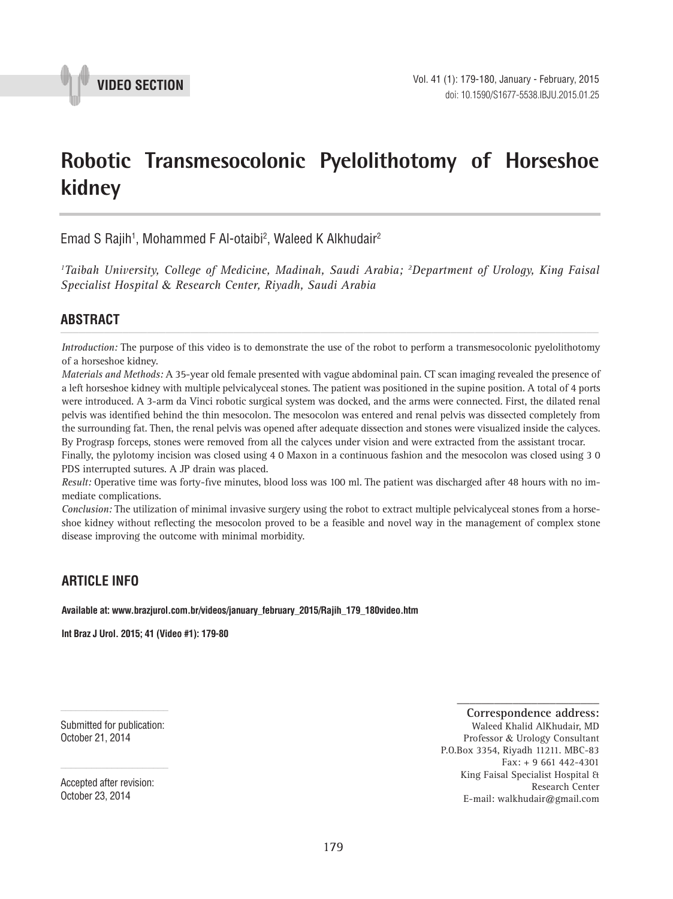

# **Robotic Transmesocolonic Pyelolithotomy of Horseshoe kidney \_\_\_\_\_\_\_\_\_\_\_\_\_\_\_\_\_\_\_\_\_\_\_\_\_\_\_\_\_\_\_\_\_\_\_\_\_\_\_\_\_\_\_\_\_\_\_**

Emad S Rajih<sup>1</sup>, Mohammed F Al-otaibi<sup>2</sup>, Waleed K Alkhudair<sup>2</sup>

*1 Taibah University, College of Medicine, Madinah, Saudi Arabia; 2 Department of Urology, King Faisal Specialist Hospital* & *Research Center, Riyadh, Saudi Arabia*

# **ABSTRACT** *\_\_\_\_\_\_\_\_\_\_\_\_\_\_\_\_\_\_\_\_\_\_\_\_\_\_\_\_\_\_\_\_\_\_\_\_\_\_\_\_\_\_\_\_\_\_\_\_\_\_\_\_\_\_\_\_\_\_\_\_\_\_\_\_\_\_\_\_\_\_\_\_\_\_\_\_\_\_\_\_\_\_\_\_\_\_\_*

*Introduction:* The purpose of this video is to demonstrate the use of the robot to perform a transmesocolonic pyelolithotomy of a horseshoe kidney.

*Materials and Methods:* A 35-year old female presented with vague abdominal pain. CT scan imaging revealed the presence of a left horseshoe kidney with multiple pelvicalyceal stones. The patient was positioned in the supine position. A total of 4 ports were introduced. A 3-arm da Vinci robotic surgical system was docked, and the arms were connected. First, the dilated renal pelvis was identified behind the thin mesocolon. The mesocolon was entered and renal pelvis was dissected completely from the surrounding fat. Then, the renal pelvis was opened after adequate dissection and stones were visualized inside the calyces. By Prograsp forceps, stones were removed from all the calyces under vision and were extracted from the assistant trocar.

Finally, the pylotomy incision was closed using 4 0 Maxon in a continuous fashion and the mesocolon was closed using 3 0 PDS interrupted sutures. A JP drain was placed.

*Result:* Operative time was forty-five minutes, blood loss was 100 ml. The patient was discharged after 48 hours with no immediate complications.

*Conclusion:* The utilization of minimal invasive surgery using the robot to extract multiple pelvicalyceal stones from a horseshoe kidney without reflecting the mesocolon proved to be a feasible and novel way in the management of complex stone disease improving the outcome with minimal morbidity.

## **ARTICLE INFO**

#### **Available at: www.brazjurol.com.br/videos/january\_february\_2015/Rajih\_179\_180video.htm**

**Int Braz J Urol. 2015; 41 (Video #1): 179-80**

Submitted for publication: October 21, 2014

**Correspondence address:** Waleed Khalid AlKhudair, MD Professor & Urology Consultant P.O.Box 3354, Riyadh 11211. MBC-83 Fax: + 9 661 442-4301 King Faisal Specialist Hospital & Research Center E-mail: walkhudair@gmail.com

**\_\_\_\_\_\_\_\_\_\_\_\_\_\_\_\_\_\_\_\_\_\_\_**

Accepted after revision: October 23, 2014